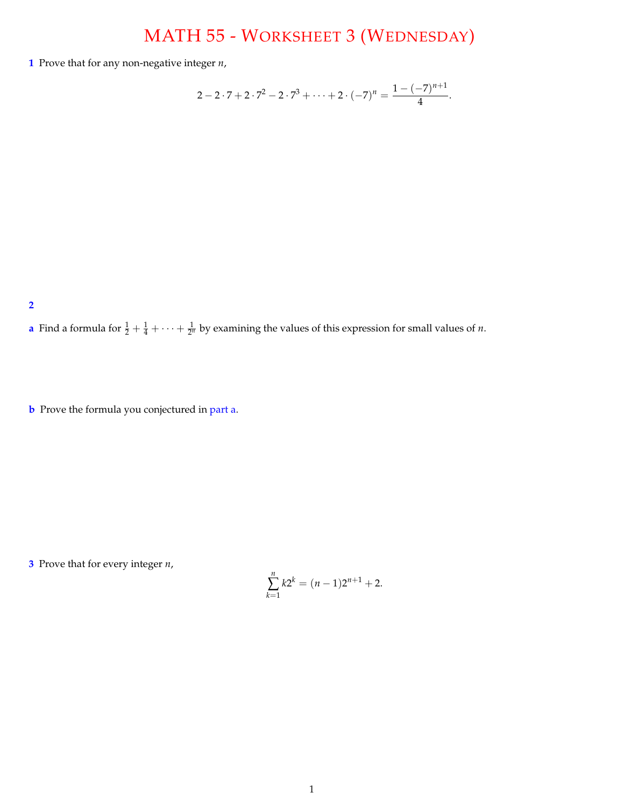## MATH 55 - WORKSHEET 3 (WEDNESDAY)

**1** Prove that for any non-negative integer *n*,

$$
2-2\cdot 7+2\cdot 7^2-2\cdot 7^3+\cdots+2\cdot (-7)^n=\frac{1-(-7)^{n+1}}{4}.
$$

**2**

**a** Find a formula for  $\frac{1}{2} + \frac{1}{4} + \cdots + \frac{1}{2^n}$  by examining the values of this expression for small values of *n*.

**b** Prove the formula you conjectured in part a.

**3** Prove that for every integer *n*,

$$
\sum_{k=1}^{n} k2^{k} = (n-1)2^{n+1} + 2.
$$